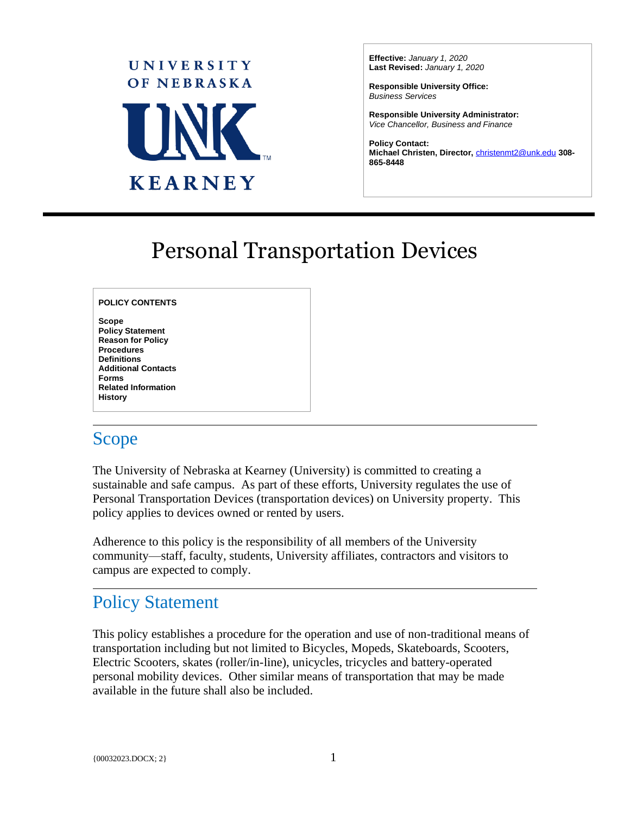

**Effective:** *January 1, 2020* **Last Revised:** *January 1, 2020*

**Responsible University Office:** *Business Services*

**Responsible University Administrator:** *Vice Chancellor, Business and Finance* 

**Policy Contact: Michael Christen, Director,** [christenmt2@unk.edu](mailto:christenmt2@unk.edu) **308- 865-8448**

 $\overline{a}$ 

# Personal Transportation Devices

#### **POLICY CONTENTS**

**Scope Policy Statement Reason for Policy Procedures Definitions Additional Contacts Forms Related Information History**

### Scope

The University of Nebraska at Kearney (University) is committed to creating a sustainable and safe campus. As part of these efforts, University regulates the use of Personal Transportation Devices (transportation devices) on University property. This policy applies to devices owned or rented by users.

Adherence to this policy is the responsibility of all members of the University community—staff, faculty, students, University affiliates, contractors and visitors to campus are expected to comply.

### Policy Statement

This policy establishes a procedure for the operation and use of non-traditional means of transportation including but not limited to Bicycles, Mopeds, Skateboards, Scooters, Electric Scooters, skates (roller/in-line), unicycles, tricycles and battery-operated personal mobility devices. Other similar means of transportation that may be made available in the future shall also be included.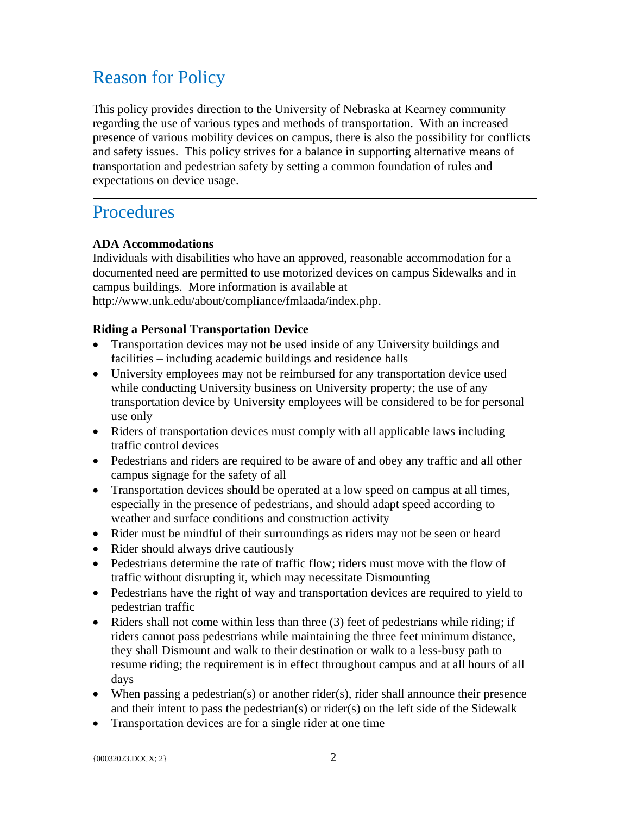## Reason for Policy

This policy provides direction to the University of Nebraska at Kearney community regarding the use of various types and methods of transportation. With an increased presence of various mobility devices on campus, there is also the possibility for conflicts and safety issues. This policy strives for a balance in supporting alternative means of transportation and pedestrian safety by setting a common foundation of rules and expectations on device usage.

### **Procedures**

#### **ADA Accommodations**

Individuals with disabilities who have an approved, reasonable accommodation for a documented need are permitted to use motorized devices on campus Sidewalks and in campus buildings. More information is available at

http://www.unk.edu/about/compliance/fmlaada/index.php.

#### **Riding a Personal Transportation Device**

- Transportation devices may not be used inside of any University buildings and facilities – including academic buildings and residence halls
- University employees may not be reimbursed for any transportation device used while conducting University business on University property; the use of any transportation device by University employees will be considered to be for personal use only
- Riders of transportation devices must comply with all applicable laws including traffic control devices
- Pedestrians and riders are required to be aware of and obey any traffic and all other campus signage for the safety of all
- Transportation devices should be operated at a low speed on campus at all times, especially in the presence of pedestrians, and should adapt speed according to weather and surface conditions and construction activity
- Rider must be mindful of their surroundings as riders may not be seen or heard
- Rider should always drive cautiously
- Pedestrians determine the rate of traffic flow; riders must move with the flow of traffic without disrupting it, which may necessitate Dismounting
- Pedestrians have the right of way and transportation devices are required to yield to pedestrian traffic
- Riders shall not come within less than three (3) feet of pedestrians while riding; if riders cannot pass pedestrians while maintaining the three feet minimum distance, they shall Dismount and walk to their destination or walk to a less-busy path to resume riding; the requirement is in effect throughout campus and at all hours of all days
- When passing a pedestrian(s) or another rider(s), rider shall announce their presence and their intent to pass the pedestrian(s) or rider(s) on the left side of the Sidewalk
- Transportation devices are for a single rider at one time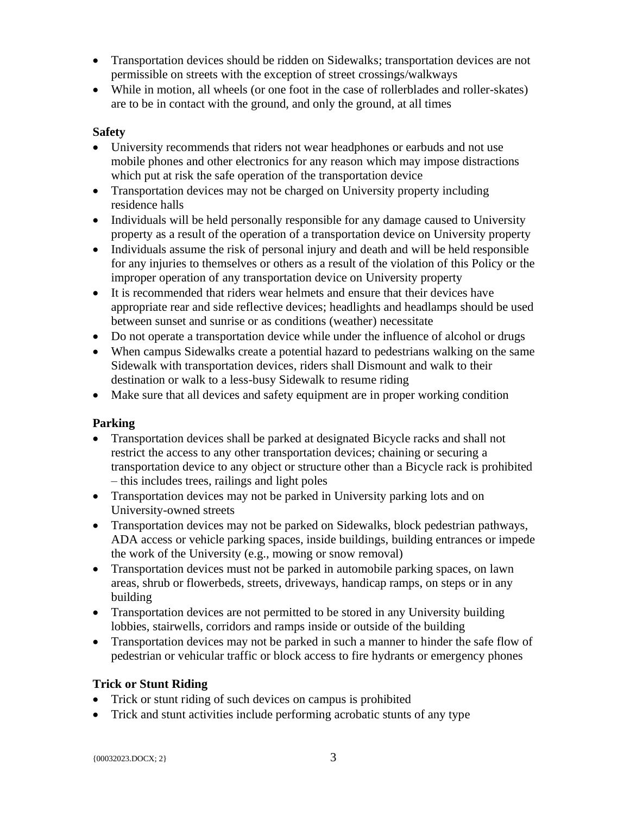- Transportation devices should be ridden on Sidewalks; transportation devices are not permissible on streets with the exception of street crossings/walkways
- While in motion, all wheels (or one foot in the case of rollerblades and roller-skates) are to be in contact with the ground, and only the ground, at all times

#### **Safety**

- University recommends that riders not wear headphones or earbuds and not use mobile phones and other electronics for any reason which may impose distractions which put at risk the safe operation of the transportation device
- Transportation devices may not be charged on University property including residence halls
- Individuals will be held personally responsible for any damage caused to University property as a result of the operation of a transportation device on University property
- Individuals assume the risk of personal injury and death and will be held responsible for any injuries to themselves or others as a result of the violation of this Policy or the improper operation of any transportation device on University property
- It is recommended that riders wear helmets and ensure that their devices have appropriate rear and side reflective devices; headlights and headlamps should be used between sunset and sunrise or as conditions (weather) necessitate
- Do not operate a transportation device while under the influence of alcohol or drugs
- When campus Sidewalks create a potential hazard to pedestrians walking on the same Sidewalk with transportation devices, riders shall Dismount and walk to their destination or walk to a less-busy Sidewalk to resume riding
- Make sure that all devices and safety equipment are in proper working condition

#### **Parking**

- Transportation devices shall be parked at designated Bicycle racks and shall not restrict the access to any other transportation devices; chaining or securing a transportation device to any object or structure other than a Bicycle rack is prohibited – this includes trees, railings and light poles
- Transportation devices may not be parked in University parking lots and on University-owned streets
- Transportation devices may not be parked on Sidewalks, block pedestrian pathways, ADA access or vehicle parking spaces, inside buildings, building entrances or impede the work of the University (e.g., mowing or snow removal)
- Transportation devices must not be parked in automobile parking spaces, on lawn areas, shrub or flowerbeds, streets, driveways, handicap ramps, on steps or in any building
- Transportation devices are not permitted to be stored in any University building lobbies, stairwells, corridors and ramps inside or outside of the building
- Transportation devices may not be parked in such a manner to hinder the safe flow of pedestrian or vehicular traffic or block access to fire hydrants or emergency phones

#### **Trick or Stunt Riding**

- Trick or stunt riding of such devices on campus is prohibited
- Trick and stunt activities include performing acrobatic stunts of any type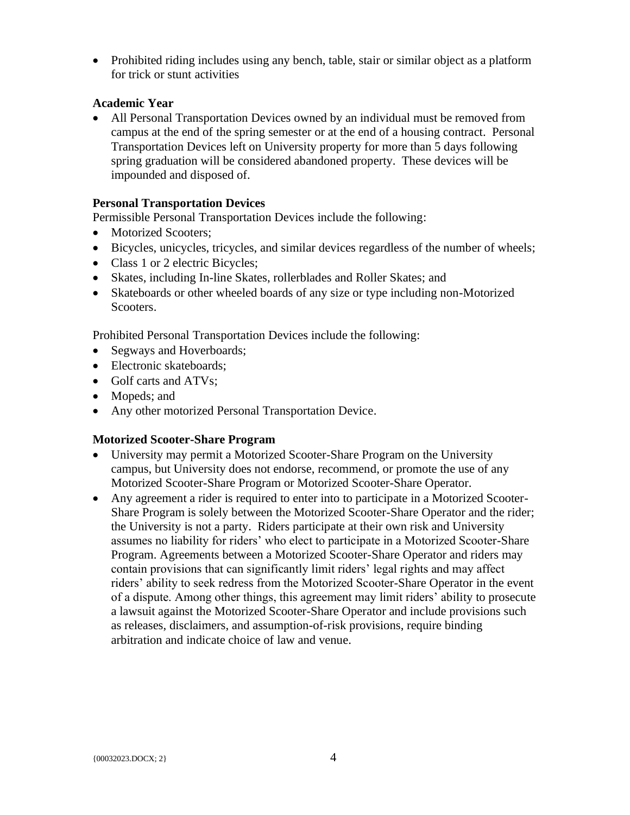• Prohibited riding includes using any bench, table, stair or similar object as a platform for trick or stunt activities

#### **Academic Year**

• All Personal Transportation Devices owned by an individual must be removed from campus at the end of the spring semester or at the end of a housing contract. Personal Transportation Devices left on University property for more than 5 days following spring graduation will be considered abandoned property. These devices will be impounded and disposed of.

#### **Personal Transportation Devices**

Permissible Personal Transportation Devices include the following:

- Motorized Scooters;
- Bicycles, unicycles, tricycles, and similar devices regardless of the number of wheels;
- Class 1 or 2 electric Bicycles;
- Skates, including In-line Skates, rollerblades and Roller Skates; and
- Skateboards or other wheeled boards of any size or type including non-Motorized Scooters.

Prohibited Personal Transportation Devices include the following:

- Segways and Hoverboards;
- Electronic skateboards:
- Golf carts and ATVs:
- Mopeds; and
- Any other motorized Personal Transportation Device.

#### **Motorized Scooter-Share Program**

- University may permit a Motorized Scooter-Share Program on the University campus, but University does not endorse, recommend, or promote the use of any Motorized Scooter-Share Program or Motorized Scooter-Share Operator.
- Any agreement a rider is required to enter into to participate in a Motorized Scooter-Share Program is solely between the Motorized Scooter-Share Operator and the rider; the University is not a party. Riders participate at their own risk and University assumes no liability for riders' who elect to participate in a Motorized Scooter-Share Program. Agreements between a Motorized Scooter-Share Operator and riders may contain provisions that can significantly limit riders' legal rights and may affect riders' ability to seek redress from the Motorized Scooter-Share Operator in the event of a dispute. Among other things, this agreement may limit riders' ability to prosecute a lawsuit against the Motorized Scooter-Share Operator and include provisions such as releases, disclaimers, and assumption-of-risk provisions, require binding arbitration and indicate choice of law and venue.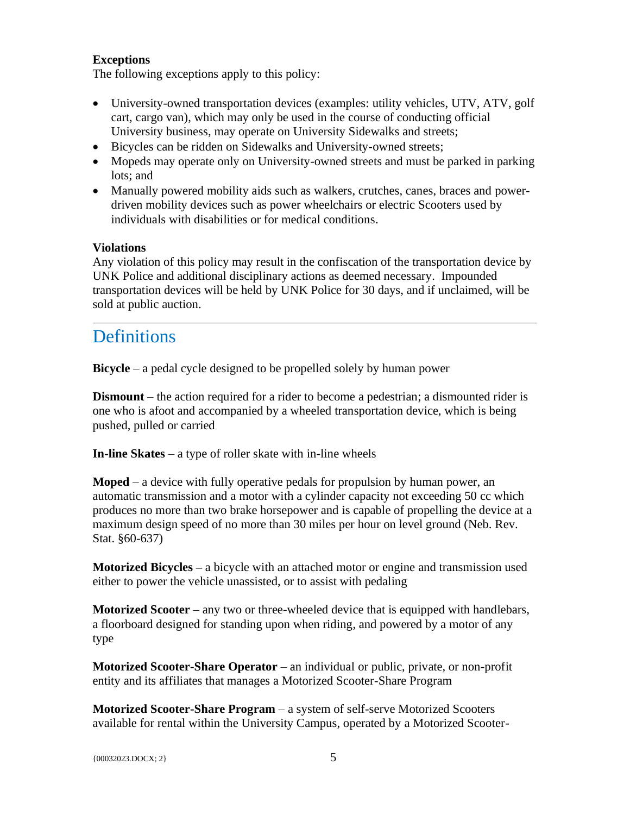#### **Exceptions**

The following exceptions apply to this policy:

- University-owned transportation devices (examples: utility vehicles, UTV, ATV, golf cart, cargo van), which may only be used in the course of conducting official University business, may operate on University Sidewalks and streets;
- Bicycles can be ridden on Sidewalks and University-owned streets;
- Mopeds may operate only on University-owned streets and must be parked in parking lots; and
- Manually powered mobility aids such as walkers, crutches, canes, braces and powerdriven mobility devices such as power wheelchairs or electric Scooters used by individuals with disabilities or for medical conditions.

#### **Violations**

Any violation of this policy may result in the confiscation of the transportation device by UNK Police and additional disciplinary actions as deemed necessary. Impounded transportation devices will be held by UNK Police for 30 days, and if unclaimed, will be sold at public auction.

### **Definitions**

**Bicycle** – a pedal cycle designed to be propelled solely by human power

**Dismount** – the action required for a rider to become a pedestrian; a dismounted rider is one who is afoot and accompanied by a wheeled transportation device, which is being pushed, pulled or carried

**In-line Skates** – a type of roller skate with in-line wheels

**Moped** – a device with fully operative pedals for propulsion by human power, an automatic transmission and a motor with a cylinder capacity not exceeding 50 cc which produces no more than two brake horsepower and is capable of propelling the device at a maximum design speed of no more than 30 miles per hour on level ground (Neb. Rev. Stat. §60-637)

**Motorized Bicycles –** a bicycle with an attached motor or engine and transmission used either to power the vehicle unassisted, or to assist with pedaling

**Motorized Scooter** – any two or three-wheeled device that is equipped with handlebars, a floorboard designed for standing upon when riding, and powered by a motor of any type

**Motorized Scooter-Share Operator** – an individual or public, private, or non-profit entity and its affiliates that manages a Motorized Scooter-Share Program

**Motorized Scooter-Share Program** – a system of self-serve Motorized Scooters available for rental within the University Campus, operated by a Motorized Scooter